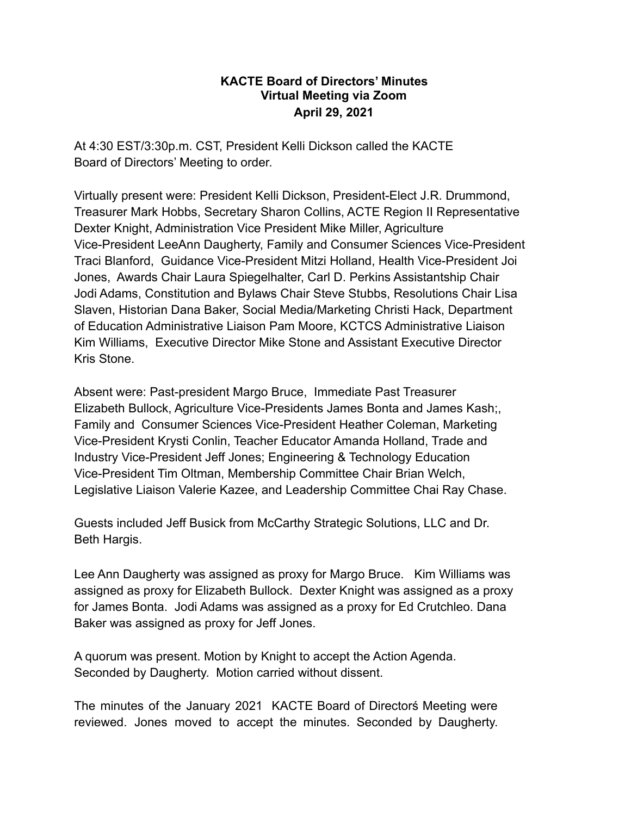## **KACTE Board of Directors' Minutes Virtual Meeting via Zoom April 29, 2021**

At 4:30 EST/3:30p.m. CST, President Kelli Dickson called the KACTE Board of Directors' Meeting to order.

Virtually present were: President Kelli Dickson, President-Elect J.R. Drummond, Treasurer Mark Hobbs, Secretary Sharon Collins, ACTE Region II Representative Dexter Knight, Administration Vice President Mike Miller, Agriculture Vice-President LeeAnn Daugherty, Family and Consumer Sciences Vice-President Traci Blanford, Guidance Vice-President Mitzi Holland, Health Vice-President Joi Jones, Awards Chair Laura Spiegelhalter, Carl D. Perkins Assistantship Chair Jodi Adams, Constitution and Bylaws Chair Steve Stubbs, Resolutions Chair Lisa Slaven, Historian Dana Baker, Social Media/Marketing Christi Hack, Department of Education Administrative Liaison Pam Moore, KCTCS Administrative Liaison Kim Williams, Executive Director Mike Stone and Assistant Executive Director Kris Stone.

Absent were: Past-president Margo Bruce, Immediate Past Treasurer Elizabeth Bullock, Agriculture Vice-Presidents James Bonta and James Kash;, Family and Consumer Sciences Vice-President Heather Coleman, Marketing Vice-President Krysti Conlin, Teacher Educator Amanda Holland, Trade and Industry Vice-President Jeff Jones; Engineering & Technology Education Vice-President Tim Oltman, Membership Committee Chair Brian Welch, Legislative Liaison Valerie Kazee, and Leadership Committee Chai Ray Chase.

Guests included Jeff Busick from McCarthy Strategic Solutions, LLC and Dr. Beth Hargis.

Lee Ann Daugherty was assigned as proxy for Margo Bruce. Kim Williams was assigned as proxy for Elizabeth Bullock. Dexter Knight was assigned as a proxy for James Bonta. Jodi Adams was assigned as a proxy for Ed Crutchleo. Dana Baker was assigned as proxy for Jeff Jones.

A quorum was present. Motion by Knight to accept the Action Agenda. Seconded by Daugherty. Motion carried without dissent.

The minutes of the January 2021 KACTE Board of Directorś Meeting were reviewed. Jones moved to accept the minutes. Seconded by Daugherty.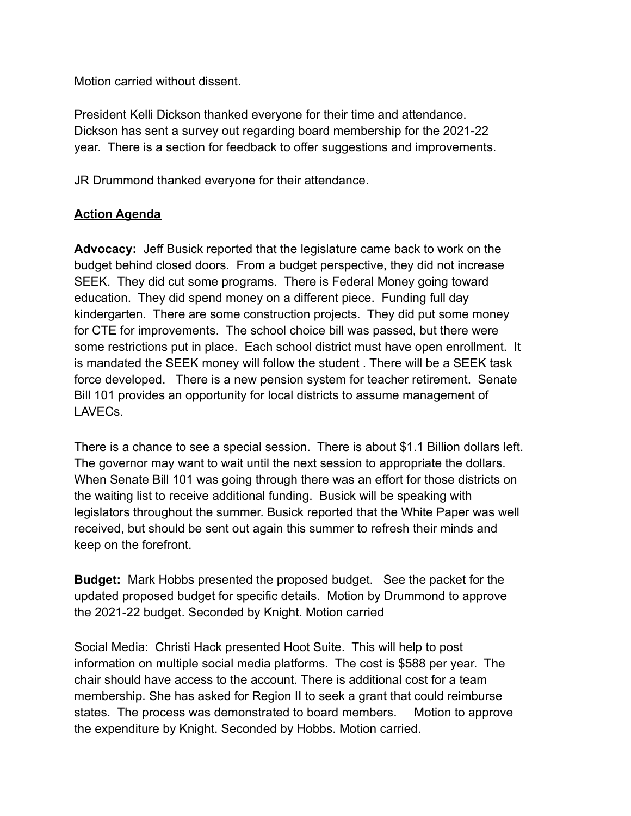Motion carried without dissent.

President Kelli Dickson thanked everyone for their time and attendance. Dickson has sent a survey out regarding board membership for the 2021-22 year. There is a section for feedback to offer suggestions and improvements.

JR Drummond thanked everyone for their attendance.

## **Action Agenda**

**Advocacy:** Jeff Busick reported that the legislature came back to work on the budget behind closed doors. From a budget perspective, they did not increase SEEK. They did cut some programs. There is Federal Money going toward education. They did spend money on a different piece. Funding full day kindergarten. There are some construction projects. They did put some money for CTE for improvements. The school choice bill was passed, but there were some restrictions put in place. Each school district must have open enrollment. It is mandated the SEEK money will follow the student . There will be a SEEK task force developed. There is a new pension system for teacher retirement. Senate Bill 101 provides an opportunity for local districts to assume management of LAVECs.

There is a chance to see a special session. There is about \$1.1 Billion dollars left. The governor may want to wait until the next session to appropriate the dollars. When Senate Bill 101 was going through there was an effort for those districts on the waiting list to receive additional funding. Busick will be speaking with legislators throughout the summer. Busick reported that the White Paper was well received, but should be sent out again this summer to refresh their minds and keep on the forefront.

**Budget:** Mark Hobbs presented the proposed budget. See the packet for the updated proposed budget for specific details. Motion by Drummond to approve the 2021-22 budget. Seconded by Knight. Motion carried

Social Media: Christi Hack presented Hoot Suite. This will help to post information on multiple social media platforms. The cost is \$588 per year. The chair should have access to the account. There is additional cost for a team membership. She has asked for Region II to seek a grant that could reimburse states. The process was demonstrated to board members. Motion to approve the expenditure by Knight. Seconded by Hobbs. Motion carried.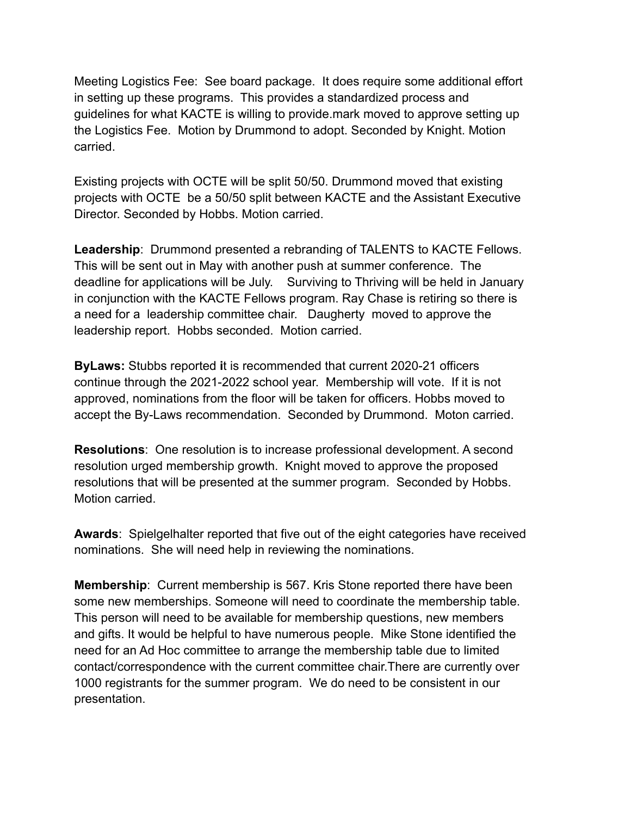Meeting Logistics Fee: See board package. It does require some additional effort in setting up these programs. This provides a standardized process and guidelines for what KACTE is willing to provide.mark moved to approve setting up the Logistics Fee. Motion by Drummond to adopt. Seconded by Knight. Motion carried.

Existing projects with OCTE will be split 50/50. Drummond moved that existing projects with OCTE be a 50/50 split between KACTE and the Assistant Executive Director. Seconded by Hobbs. Motion carried.

**Leadership**: Drummond presented a rebranding of TALENTS to KACTE Fellows. This will be sent out in May with another push at summer conference. The deadline for applications will be July. Surviving to Thriving will be held in January in conjunction with the KACTE Fellows program. Ray Chase is retiring so there is a need for a leadership committee chair. Daugherty moved to approve the leadership report. Hobbs seconded. Motion carried.

**ByLaws:** Stubbs reported **i**t is recommended that current 2020-21 officers continue through the 2021-2022 school year. Membership will vote. If it is not approved, nominations from the floor will be taken for officers. Hobbs moved to accept the By-Laws recommendation. Seconded by Drummond. Moton carried.

**Resolutions**: One resolution is to increase professional development. A second resolution urged membership growth. Knight moved to approve the proposed resolutions that will be presented at the summer program. Seconded by Hobbs. Motion carried.

**Awards**: Spielgelhalter reported that five out of the eight categories have received nominations. She will need help in reviewing the nominations.

**Membership**: Current membership is 567. Kris Stone reported there have been some new memberships. Someone will need to coordinate the membership table. This person will need to be available for membership questions, new members and gifts. It would be helpful to have numerous people. Mike Stone identified the need for an Ad Hoc committee to arrange the membership table due to limited contact/correspondence with the current committee chair.There are currently over 1000 registrants for the summer program. We do need to be consistent in our presentation.